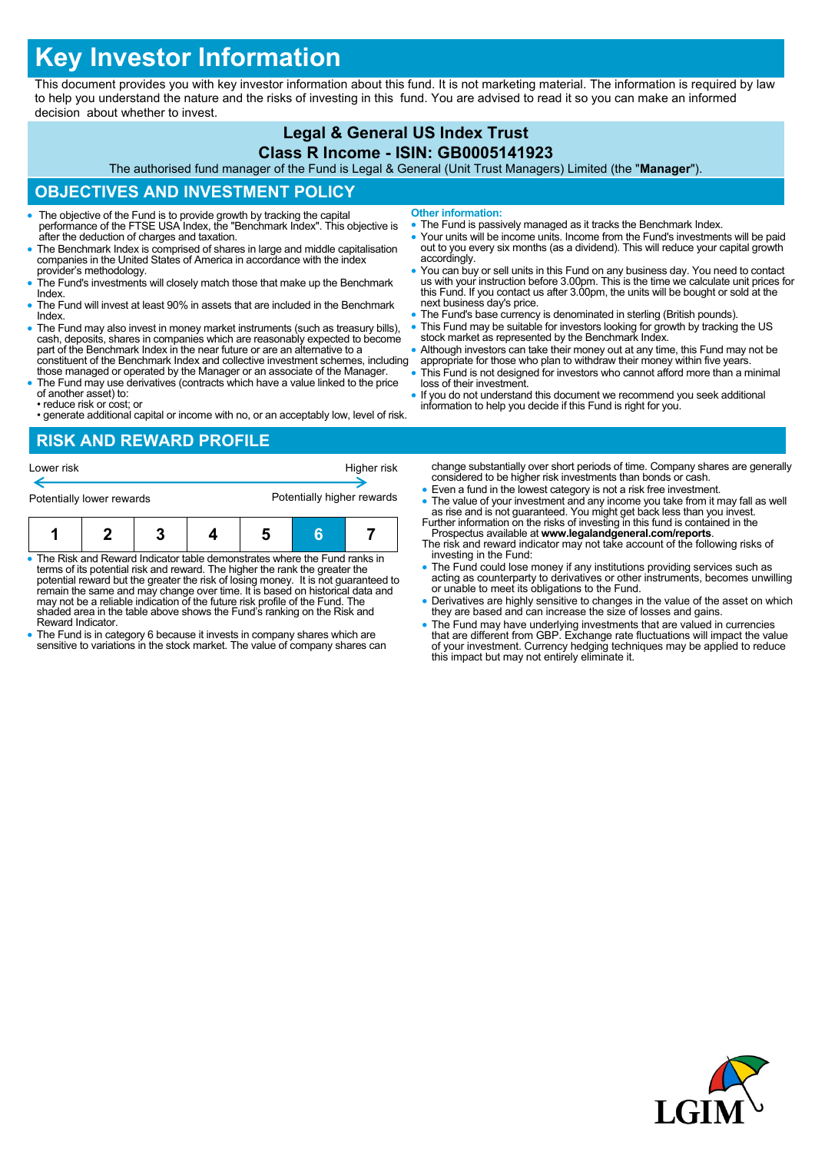# **Key Investor Information**

This document provides you with key investor information about this fund. It is not marketing material. The information is required by law to help you understand the nature and the risks of investing in this fund. You are advised to read it so you can make an informed decision about whether to invest.

### **Legal & General US Index Trust Class R Income - ISIN: GB0005141923**

The authorised fund manager of the Fund is Legal & General (Unit Trust Managers) Limited (the "**Manager**").

## **OBJECTIVES AND INVESTMENT POLICY**

- The objective of the Fund is to provide growth by tracking the capital performance of the FTSE USA Index, the "Benchmark Index". This objective is after the deduction of charges and taxation.
- The Benchmark Index is comprised of shares in large and middle capitalisation companies in the United States of America in accordance with the index provider's methodology.
- The Fund's investments will closely match those that make up the Benchmark Index.
- The Fund will invest at least 90% in assets that are included in the Benchmark Index.
- The Fund may also invest in money market instruments (such as treasury bills), cash, deposits, shares in companies which are reasonably expected to become part of the Benchmark Index in the near future or are an alternat constituent of the Benchmark Index and collective investment schemes, including
- those managed or operated by the Manager or an associate of the Manager. The Fund may use derivatives (contracts which have a value linked to the price
- of another asset) to: • reduce risk or cost; or
- generate additional capital or income with no, or an acceptably low, level of risk.

**Other information:**

- The Fund is passively managed as it tracks the Benchmark Index.
- Your units will be income units. Income from the Fund's investments will be paid out to you every six months (as a dividend). This will reduce your capital growth accordingly.
- You can buy or sell units in this Fund on any business day. You need to contact us with your instruction before 3.00pm. This is the time we calculate unit prices for this Fund. If you contact us after 3.00pm, the units will be bought or sold at the next business day's price.
- The Fund's base currency is denominated in sterling (British pounds). This Fund may be suitable for investors looking for growth by tracking the US
- stock market as represented by the Benchmark Index.
- Although investors can take their money out at any time, this Fund may not be appropriate for those who plan to withdraw their money within five years.
- This Fund is not designed for investors who cannot afford more than a minimal loss of their investment.
- If you do not understand this document we recommend you seek additional information to help you decide if this Fund is right for you.

### **RISK AND REWARD PROFILE**

| Lower risk<br>Potentially lower rewards |  |  |  | Higher risk<br>Potentially higher rewards |   |  |  |
|-----------------------------------------|--|--|--|-------------------------------------------|---|--|--|
|                                         |  |  |  |                                           | ĥ |  |  |

- The Risk and Reward Indicator table demonstrates where the Fund ranks in terms of its potential risk and reward. The higher the rank the greater the potential reward but the greater the risk of losing money. It is not guaranteed to remain the same and may change over time. It is based on historical data and may not be a reliable indication of the future risk profile of the Fund. The shaded area in the table above shows the Fund's ranking on the Risk and Reward Indicator.
- The Fund is in category 6 because it invests in company shares which are sensitive to variations in the stock market. The value of company shares can
- change substantially over short periods of time. Company shares are generally considered to be higher risk investments than bonds or cash.
- Even a fund in the lowest category is not a risk free investment.
- The value of your investment and any income you take from it may fall as well as rise and is not guaranteed. You might get back less than you invest. Further information on the risks of investing in this fund is containe
- Prospectus available at **www.legalandgeneral.com/reports**. The risk and reward indicator may not take account of the following risks of
- investing in the Fund: The Fund could lose money if any institutions providing services such as acting as counterparty to derivatives or other instruments, becomes unwilling or unable to meet its obligations to the Fund.
- Derivatives are highly sensitive to changes in the value of the asset on which they are based and can increase the size of losses and gains.
- The Fund may have underlying investments that are valued in currencies<br>that are different from GBP. Exchange rate fluctuations will impact the value<br>of your investment. Currency hedging techniques may be applied to reduc